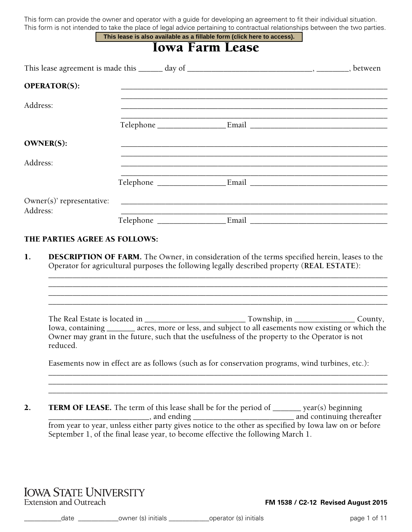This form can provide the owner and operator with a guide for developing an agreement to fit their individual situation. This form is not intended to take the place of legal advice pertaining to contractual relationships between the two parties. **This lease is also available as a fillable form (click here to access).**

|                     |                        | THIS IBASE IS AISO AVAIIADIB AS A HIIADIB TOHIT (CHCK HBIB TO ACCBSS).                                                |  |
|---------------------|------------------------|-----------------------------------------------------------------------------------------------------------------------|--|
|                     | <b>Iowa Farm Lease</b> |                                                                                                                       |  |
|                     |                        |                                                                                                                       |  |
| <b>OPERATOR(S):</b> |                        |                                                                                                                       |  |
| Address:            |                        |                                                                                                                       |  |
|                     |                        |                                                                                                                       |  |
| <b>OWNER(S):</b>    |                        | <u> 1989 - Johann Harry Harry Harry Harry Harry Harry Harry Harry Harry Harry Harry Harry Harry Harry Harry Harry</u> |  |
| Address:            |                        |                                                                                                                       |  |
|                     |                        |                                                                                                                       |  |
| Address:            |                        |                                                                                                                       |  |
|                     |                        |                                                                                                                       |  |

#### THE PARTIES AGREE AS FOLLOWS:

1. DESCRIPTION OF FARM. The Owner, in consideration of the terms specified herein, leases to the Operator for agricultural purposes the following legally described property (**REAL ESTATE**):

| The Real Estate is located in |                                                                                                        | Township, in $\qquad \qquad$ | County, |
|-------------------------------|--------------------------------------------------------------------------------------------------------|------------------------------|---------|
|                               | Iowa, containing _________ acres, more or less, and subject to all easements now existing or which the |                              |         |
|                               | Owner may grant in the future, such that the usefulness of the property to the Operator is not         |                              |         |
| reduced.                      |                                                                                                        |                              |         |

\_\_\_\_\_\_\_\_\_\_\_\_\_\_\_\_\_\_\_\_\_\_\_\_\_\_\_\_\_\_\_\_\_\_\_\_\_\_\_\_\_\_\_\_\_\_\_\_\_\_\_\_\_\_\_\_\_\_\_\_\_\_\_\_\_\_\_\_\_\_\_\_\_\_\_\_\_\_\_\_\_\_\_\_ \_\_\_\_\_\_\_\_\_\_\_\_\_\_\_\_\_\_\_\_\_\_\_\_\_\_\_\_\_\_\_\_\_\_\_\_\_\_\_\_\_\_\_\_\_\_\_\_\_\_\_\_\_\_\_\_\_\_\_\_\_\_\_\_\_\_\_\_\_\_\_\_\_\_\_\_\_\_\_\_\_\_\_\_ \_\_\_\_\_\_\_\_\_\_\_\_\_\_\_\_\_\_\_\_\_\_\_\_\_\_\_\_\_\_\_\_\_\_\_\_\_\_\_\_\_\_\_\_\_\_\_\_\_\_\_\_\_\_\_\_\_\_\_\_\_\_\_\_\_\_\_\_\_\_\_\_\_\_\_\_\_\_\_\_\_\_\_\_

\_\_\_\_\_\_\_\_\_\_\_\_\_\_\_\_\_\_\_\_\_\_\_\_\_\_\_\_\_\_\_\_\_\_\_\_\_\_\_\_\_\_\_\_\_\_\_\_\_\_\_\_\_\_\_\_\_\_\_\_\_\_\_\_\_\_\_\_\_\_\_\_\_\_\_\_\_\_\_\_\_\_\_\_ \_\_\_\_\_\_\_\_\_\_\_\_\_\_\_\_\_\_\_\_\_\_\_\_\_\_\_\_\_\_\_\_\_\_\_\_\_\_\_\_\_\_\_\_\_\_\_\_\_\_\_\_\_\_\_\_\_\_\_\_\_\_\_\_\_\_\_\_\_\_\_\_\_\_\_\_\_\_\_\_\_\_\_\_ \_\_\_\_\_\_\_\_\_\_\_\_\_\_\_\_\_\_\_\_\_\_\_\_\_\_\_\_\_\_\_\_\_\_\_\_\_\_\_\_\_\_\_\_\_\_\_\_\_\_\_\_\_\_\_\_\_\_\_\_\_\_\_\_\_\_\_\_\_\_\_\_\_\_\_\_\_\_\_\_\_\_\_\_ \_\_\_\_\_\_\_\_\_\_\_\_\_\_\_\_\_\_\_\_\_\_\_\_\_\_\_\_\_\_\_\_\_\_\_\_\_\_\_\_\_\_\_\_\_\_\_\_\_\_\_\_\_\_\_\_\_\_\_\_\_\_\_\_\_\_\_\_\_\_\_\_\_\_\_\_\_\_\_\_\_\_\_\_

Easements now in effect are as follows (such as for conservation programs, wind turbines, etc.):

2. TERM OF LEASE. The term of this lease shall be for the period of \_\_\_\_\_\_\_ year(s) beginning \_\_\_\_\_\_\_\_\_\_\_\_\_\_\_\_\_\_\_\_\_\_\_\_\_, and ending \_\_\_\_\_\_\_\_\_\_\_\_\_\_\_\_\_\_\_\_\_\_\_\_\_ and continuing thereafter from year to year, unless either party gives notice to the other as specified by Iowa law on or before September 1, of the final lease year, to become effective the following March 1.

# **IOWA STATE UNIVERSITY Extension and Outreach**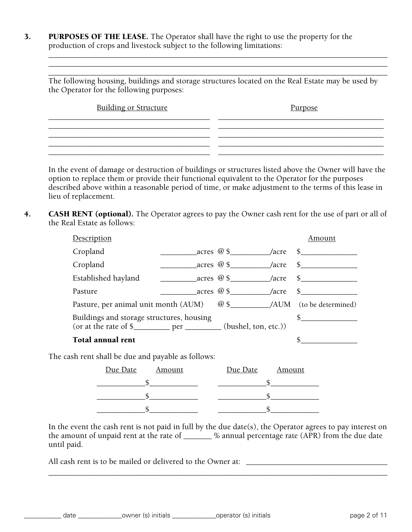3. PURPOSES OF THE LEASE. The Operator shall have the right to use the property for the production of crops and livestock subject to the following limitations:

\_\_\_\_\_\_\_\_\_\_\_\_\_\_\_\_\_\_\_\_\_\_\_\_\_\_\_\_\_\_\_\_\_\_\_\_\_\_\_\_\_\_\_\_\_\_\_\_\_\_\_\_\_\_\_\_\_\_\_\_\_\_\_\_\_\_\_\_\_\_\_\_\_\_\_\_\_\_\_\_\_\_\_\_ The following housing, buildings and storage structures located on the Real Estate may be used by the Operator for the following purposes:

\_\_\_\_\_\_\_\_\_\_\_\_\_\_\_\_\_\_\_\_\_\_\_\_\_\_\_\_\_\_\_\_\_\_\_\_\_\_\_\_\_\_\_\_\_\_\_\_\_\_\_\_\_\_\_\_\_\_\_\_\_\_\_\_\_\_\_\_\_\_\_\_\_\_\_\_\_\_\_\_\_\_\_\_ \_\_\_\_\_\_\_\_\_\_\_\_\_\_\_\_\_\_\_\_\_\_\_\_\_\_\_\_\_\_\_\_\_\_\_\_\_\_\_\_\_\_\_\_\_\_\_\_\_\_\_\_\_\_\_\_\_\_\_\_\_\_\_\_\_\_\_\_\_\_\_\_\_\_\_\_\_\_\_\_\_\_\_\_

 $\overline{\phantom{a}}$ \_\_\_\_\_\_\_\_\_\_\_\_\_\_\_\_\_\_\_\_\_\_\_\_\_\_\_\_\_\_\_\_\_\_\_\_\_\_\_\_ \_\_\_\_\_\_\_\_\_\_\_\_\_\_\_\_\_\_\_\_\_\_\_\_\_\_\_\_\_\_\_\_\_\_\_\_\_\_\_\_\_ \_\_\_\_\_\_\_\_\_\_\_\_\_\_\_\_\_\_\_\_\_\_\_\_\_\_\_\_\_\_\_\_\_\_\_\_\_\_\_\_ \_\_\_\_\_\_\_\_\_\_\_\_\_\_\_\_\_\_\_\_\_\_\_\_\_\_\_\_\_\_\_\_\_\_\_\_\_\_\_\_\_ Building or Structure Purpose

In the event of damage or destruction of buildings or structures listed above the Owner will have the option to replace them or provide their functional equivalent to the Operator for the purposes described above within a reasonable period of time, or make adjustment to the terms of this lease in lieu of replacement.

4. **CASH RENT (optional).** The Operator agrees to pay the Owner cash rent for the use of part or all of the Real Estate as follows:

| Description                                                                                           |                                               |                                         | Amount                       |
|-------------------------------------------------------------------------------------------------------|-----------------------------------------------|-----------------------------------------|------------------------------|
| Cropland                                                                                              |                                               |                                         |                              |
| Cropland                                                                                              |                                               |                                         | $\arccos \omega$ \$ /acre \$ |
| Established hayland                                                                                   | $\arccos \omega$ \$ $\arccos \omega$ /acre \$ |                                         |                              |
| Pasture                                                                                               |                                               | $\arccos \omega$ \$ $\sqrt{2}$ /acre \$ |                              |
| Pasture, per animal unit month (AUM) $\qquad \textcircled{ } \textcircled{s}$ /AUM (to be determined) |                                               |                                         |                              |
| Buildings and storage structures, housing                                                             |                                               |                                         | $\frac{1}{2}$                |
| Total annual rent                                                                                     |                                               |                                         |                              |

The cash rent shall be due and payable as follows:

| Due Date Amount | Due Date Amount |
|-----------------|-----------------|
|                 |                 |
|                 |                 |
|                 |                 |

In the event the cash rent is not paid in full by the due date(s), the Operator agrees to pay interest on the amount of unpaid rent at the rate of \_\_\_\_\_\_\_ % annual percentage rate (APR) from the due date until paid.

\_\_\_\_\_\_\_\_\_\_\_\_\_\_\_\_\_\_\_\_\_\_\_\_\_\_\_\_\_\_\_\_\_\_\_\_\_\_\_\_\_\_\_\_\_\_\_\_\_\_\_\_\_\_\_\_\_\_\_\_\_\_\_\_\_\_\_\_\_\_\_\_\_\_\_\_\_\_\_\_\_\_\_\_

All cash rent is to be mailed or delivered to the Owner at: \_\_\_\_\_\_\_\_\_\_\_\_\_\_\_\_\_\_\_\_\_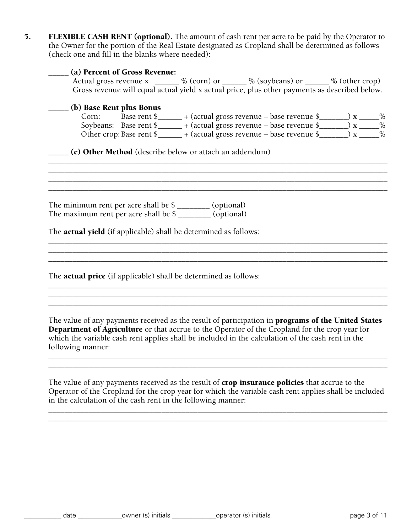5. FLEXIBLE CASH RENT (optional). The amount of cash rent per acre to be paid by the Operator to the Owner for the portion of the Real Estate designated as Cropland shall be determined as follows (check one and fill in the blanks where needed):

|                                                                                                                                                                                                   | (a) Percent of Gross Revenue: |                                                         | Actual gross revenue x ______ % (corn) or _____ % (soybeans) or _____ % (other crop)<br>Gross revenue will equal actual yield x actual price, plus other payments as described below.                                                                                                                            |  |
|---------------------------------------------------------------------------------------------------------------------------------------------------------------------------------------------------|-------------------------------|---------------------------------------------------------|------------------------------------------------------------------------------------------------------------------------------------------------------------------------------------------------------------------------------------------------------------------------------------------------------------------|--|
| (b) Base Rent plus Bonus                                                                                                                                                                          |                               | (c) Other Method (describe below or attach an addendum) | Corn: Base rent $\frac{1}{2}$ + (actual gross revenue – base revenue $\frac{1}{2}$ x ______ %<br>Soybeans: Base rent \$_______ + (actual gross revenue – base revenue \$______) x _____%<br>Other crop: Base rent \$_______ + (actual gross revenue – base revenue \$_______) x _____%                           |  |
| The minimum rent per acre shall be \$ ________ (optional)<br>The maximum rent per acre shall be \$ ________ (optional)<br>The <b>actual yield</b> (if applicable) shall be determined as follows: |                               |                                                         |                                                                                                                                                                                                                                                                                                                  |  |
| The <b>actual price</b> (if applicable) shall be determined as follows:                                                                                                                           |                               |                                                         |                                                                                                                                                                                                                                                                                                                  |  |
| following manner:                                                                                                                                                                                 |                               |                                                         | The value of any payments received as the result of participation in <b>programs of the United States</b><br>Department of Agriculture or that accrue to the Operator of the Cropland for the crop year for<br>which the variable cash rent applies shall be included in the calculation of the cash rent in the |  |

The value of any payments received as the result of crop insurance policies that accrue to the Operator of the Cropland for the crop year for which the variable cash rent applies shall be included in the calculation of the cash rent in the following manner:

\_\_\_\_\_\_\_\_\_\_\_\_\_\_\_\_\_\_\_\_\_\_\_\_\_\_\_\_\_\_\_\_\_\_\_\_\_\_\_\_\_\_\_\_\_\_\_\_\_\_\_\_\_\_\_\_\_\_\_\_\_\_\_\_\_\_\_\_\_\_\_\_\_\_\_\_\_\_\_\_\_\_\_\_ \_\_\_\_\_\_\_\_\_\_\_\_\_\_\_\_\_\_\_\_\_\_\_\_\_\_\_\_\_\_\_\_\_\_\_\_\_\_\_\_\_\_\_\_\_\_\_\_\_\_\_\_\_\_\_\_\_\_\_\_\_\_\_\_\_\_\_\_\_\_\_\_\_\_\_\_\_\_\_\_\_\_\_\_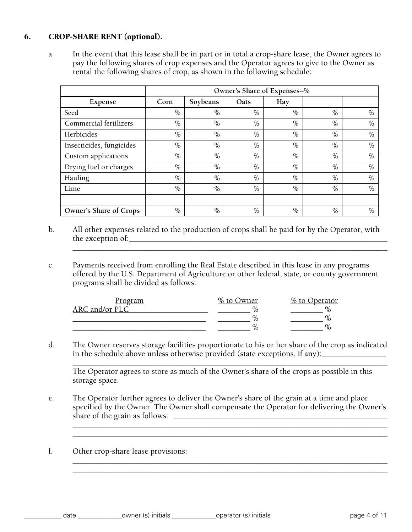# 6. CROP-SHARE RENT (optional).

a. In the event that this lease shall be in part or in total a crop-share lease, the Owner agrees to pay the following shares of crop expenses and the Operator agrees to give to the Owner as rental the following shares of crop, as shown in the following schedule:

|                          |      |          | Owner's Share of Expenses--% |      |      |      |
|--------------------------|------|----------|------------------------------|------|------|------|
| Expense                  | Corn | Soybeans | Oats                         | Hay  |      |      |
| Seed                     | $\%$ | $\%$     | $\%$                         | $\%$ | $\%$ | $\%$ |
| Commercial fertilizers   | $\%$ | $\%$     | $\%$                         | $\%$ | $\%$ | $\%$ |
| Herbicides               | $\%$ | $\%$     | $\%$                         | $\%$ | $\%$ | $\%$ |
| Insecticides, fungicides | $\%$ | $\%$     | $\%$                         | $\%$ | $\%$ | $\%$ |
| Custom applications      | $\%$ | $\%$     | $\%$                         | $\%$ | $\%$ | $\%$ |
| Drying fuel or charges   | $\%$ | $\%$     | $\%$                         | $\%$ | $\%$ | $\%$ |
| Hauling                  | $\%$ | $\%$     | $\%$                         | $\%$ | $\%$ | $\%$ |
| Lime                     | $\%$ | $\%$     | $\%$                         | $\%$ | $\%$ | $\%$ |
|                          |      |          |                              |      |      |      |
| Owner's Share of Crops   | $\%$ | $\%$     | $\%$                         | $\%$ | $\%$ | $\%$ |

b. All other expenses related to the production of crops shall be paid for by the Operator, with the exception of:

\_\_\_\_\_\_\_\_\_\_\_\_\_\_\_\_\_\_\_\_\_\_\_\_\_\_\_\_\_\_\_\_\_\_\_\_\_\_\_\_\_\_\_\_\_\_\_\_\_\_\_\_\_\_\_\_\_\_\_\_\_\_\_\_\_\_\_\_\_\_\_\_\_\_\_\_\_\_

c. Payments received from enrolling the Real Estate described in this lease in any programs offered by the U.S. Department of Agriculture or other federal, state, or county government programs shall be divided as follows:

| <u>Program</u> | % to Owner | $\frac{\%}{\%}$ to Operator |
|----------------|------------|-----------------------------|
| ARC and/or PLC |            |                             |
|                |            |                             |
|                |            |                             |

d. The Owner reserves storage facilities proportionate to his or her share of the crop as indicated in the schedule above unless otherwise provided (state exceptions, if any):

\_\_\_\_\_\_\_\_\_\_\_\_\_\_\_\_\_\_\_\_\_\_\_\_\_\_\_\_\_\_\_\_\_\_\_\_\_\_\_\_\_\_\_\_\_\_\_\_\_\_\_\_\_\_\_\_\_\_\_\_\_\_\_\_\_\_\_\_\_\_\_\_\_\_\_\_\_\_ The Operator agrees to store as much of the Owner's share of the crops as possible in this storage space.

e. The Operator further agrees to deliver the Owner's share of the grain at a time and place specified by the Owner. The Owner shall compensate the Operator for delivering the Owner's share of the grain as follows: \_\_\_\_\_\_\_\_\_\_\_\_\_\_\_\_\_\_\_\_\_\_\_\_\_\_\_\_\_\_\_\_\_\_\_\_\_\_\_\_\_\_\_\_\_\_\_\_\_\_\_\_\_

\_\_\_\_\_\_\_\_\_\_\_\_\_\_\_\_\_\_\_\_\_\_\_\_\_\_\_\_\_\_\_\_\_\_\_\_\_\_\_\_\_\_\_\_\_\_\_\_\_\_\_\_\_\_\_\_\_\_\_\_\_\_\_\_\_\_\_\_\_\_\_\_\_\_\_\_\_\_ \_\_\_\_\_\_\_\_\_\_\_\_\_\_\_\_\_\_\_\_\_\_\_\_\_\_\_\_\_\_\_\_\_\_\_\_\_\_\_\_\_\_\_\_\_\_\_\_\_\_\_\_\_\_\_\_\_\_\_\_\_\_\_\_\_\_\_\_\_\_\_\_\_\_\_\_\_\_

\_\_\_\_\_\_\_\_\_\_\_\_\_\_\_\_\_\_\_\_\_\_\_\_\_\_\_\_\_\_\_\_\_\_\_\_\_\_\_\_\_\_\_\_\_\_\_\_\_\_\_\_\_\_\_\_\_\_\_\_\_\_\_\_\_\_\_\_\_\_\_\_\_\_\_\_\_\_ \_\_\_\_\_\_\_\_\_\_\_\_\_\_\_\_\_\_\_\_\_\_\_\_\_\_\_\_\_\_\_\_\_\_\_\_\_\_\_\_\_\_\_\_\_\_\_\_\_\_\_\_\_\_\_\_\_\_\_\_\_\_\_\_\_\_\_\_\_\_\_\_\_\_\_\_\_\_

f. Other crop-share lease provisions: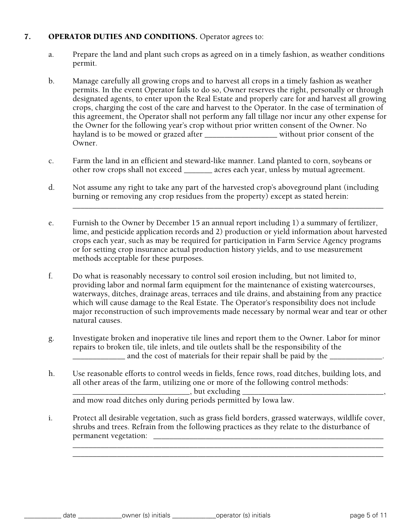### 7. OPERATOR DUTIES AND CONDITIONS. Operator agrees to:

- a. Prepare the land and plant such crops as agreed on in a timely fashion, as weather conditions permit.
- b. Manage carefully all growing crops and to harvest all crops in a timely fashion as weather permits. In the event Operator fails to do so, Owner reserves the right, personally or through designated agents, to enter upon the Real Estate and properly care for and harvest all growing crops, charging the cost of the care and harvest to the Operator. In the case of termination of this agreement, the Operator shall not perform any fall tillage nor incur any other expense for the Owner for the following year's crop without prior written consent of the Owner. No hayland is to be mowed or grazed after the summary without prior consent of the Owner.
- c. Farm the land in an efficient and steward-like manner. Land planted to corn, soybeans or other row crops shall not exceed \_\_\_\_\_\_\_ acres each year, unless by mutual agreement.
- d. Not assume any right to take any part of the harvested crop's aboveground plant (including burning or removing any crop residues from the property) except as stated herein:

\_\_\_\_\_\_\_\_\_\_\_\_\_\_\_\_\_\_\_\_\_\_\_\_\_\_\_\_\_\_\_\_\_\_\_\_\_\_\_\_\_\_\_\_\_\_\_\_\_\_\_\_\_\_\_\_\_\_\_\_\_\_\_\_\_\_\_\_\_\_\_\_\_\_\_\_\_

- e. Furnish to the Owner by December 15 an annual report including 1) a summary of fertilizer, lime, and pesticide application records and 2) production or yield information about harvested crops each year, such as may be required for participation in Farm Service Agency programs or for setting crop insurance actual production history yields, and to use measurement methods acceptable for these purposes.
- f. Do what is reasonably necessary to control soil erosion including, but not limited to, providing labor and normal farm equipment for the maintenance of existing watercourses, waterways, ditches, drainage areas, terraces and tile drains, and abstaining from any practice which will cause damage to the Real Estate. The Operator's responsibility does not include major reconstruction of such improvements made necessary by normal wear and tear or other natural causes.
- g. Investigate broken and inoperative tile lines and report them to the Owner. Labor for minor repairs to broken tile, tile inlets, and tile outlets shall be the responsibility of the \_\_\_\_\_\_\_\_\_\_\_\_\_ and the cost of materials for their repair shall be paid by the \_\_\_\_\_\_\_\_\_\_\_\_\_.
- h. Use reasonable efforts to control weeds in fields, fence rows, road ditches, building lots, and all other areas of the farm, utilizing one or more of the following control methods:  $\Box$ , but excluding  $\Box$ and mow road ditches only during periods permitted by Iowa law.
- i. Protect all desirable vegetation, such as grass field borders, grassed waterways, wildlife cover, shrubs and trees. Refrain from the following practices as they relate to the disturbance of permanent vegetation:

\_\_\_\_\_\_\_\_\_\_\_\_\_\_\_\_\_\_\_\_\_\_\_\_\_\_\_\_\_\_\_\_\_\_\_\_\_\_\_\_\_\_\_\_\_\_\_\_\_\_\_\_\_\_\_\_\_\_\_\_\_\_\_\_\_\_\_\_\_\_\_\_\_\_\_\_\_ \_\_\_\_\_\_\_\_\_\_\_\_\_\_\_\_\_\_\_\_\_\_\_\_\_\_\_\_\_\_\_\_\_\_\_\_\_\_\_\_\_\_\_\_\_\_\_\_\_\_\_\_\_\_\_\_\_\_\_\_\_\_\_\_\_\_\_\_\_\_\_\_\_\_\_\_\_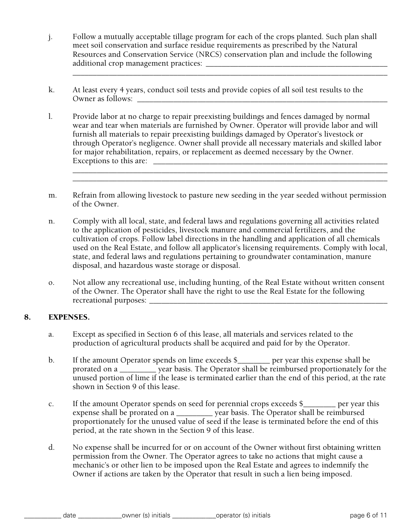j. Follow a mutually acceptable tillage program for each of the crops planted. Such plan shall meet soil conservation and surface residue requirements as prescribed by the Natural Resources and Conservation Service (NRCS) conservation plan and include the following additional crop management practices: \_\_\_\_\_\_\_\_\_\_\_\_\_\_\_\_\_\_\_\_\_\_\_\_\_\_\_\_\_\_\_\_\_\_\_\_\_\_\_\_\_\_\_\_\_

\_\_\_\_\_\_\_\_\_\_\_\_\_\_\_\_\_\_\_\_\_\_\_\_\_\_\_\_\_\_\_\_\_\_\_\_\_\_\_\_\_\_\_\_\_\_\_\_\_\_\_\_\_\_\_\_\_\_\_\_\_\_\_\_\_\_\_\_\_\_\_\_\_\_\_\_\_\_

- k. At least every 4 years, conduct soil tests and provide copies of all soil test results to the Owner as follows:
- l. Provide labor at no charge to repair preexisting buildings and fences damaged by normal wear and tear when materials are furnished by Owner. Operator will provide labor and will furnish all materials to repair preexisting buildings damaged by Operator's livestock or through Operator's negligence. Owner shall provide all necessary materials and skilled labor for major rehabilitation, repairs, or replacement as deemed necessary by the Owner. Exceptions to this are:
- m. Refrain from allowing livestock to pasture new seeding in the year seeded without permission of the Owner.

\_\_\_\_\_\_\_\_\_\_\_\_\_\_\_\_\_\_\_\_\_\_\_\_\_\_\_\_\_\_\_\_\_\_\_\_\_\_\_\_\_\_\_\_\_\_\_\_\_\_\_\_\_\_\_\_\_\_\_\_\_\_\_\_\_\_\_\_\_\_\_\_\_\_\_\_\_\_ \_\_\_\_\_\_\_\_\_\_\_\_\_\_\_\_\_\_\_\_\_\_\_\_\_\_\_\_\_\_\_\_\_\_\_\_\_\_\_\_\_\_\_\_\_\_\_\_\_\_\_\_\_\_\_\_\_\_\_\_\_\_\_\_\_\_\_\_\_\_\_\_\_\_\_\_\_\_

- n. Comply with all local, state, and federal laws and regulations governing all activities related to the application of pesticides, livestock manure and commercial fertilizers, and the cultivation of crops. Follow label directions in the handling and application of all chemicals used on the Real Estate, and follow all applicator's licensing requirements. Comply with local, state, and federal laws and regulations pertaining to groundwater contamination, manure disposal, and hazardous waste storage or disposal.
- o. Not allow any recreational use, including hunting, of the Real Estate without written consent of the Owner. The Operator shall have the right to use the Real Estate for the following recreational purposes:

# 8. EXPENSES.

- a. Except as specified in Section 6 of this lease, all materials and services related to the production of agricultural products shall be acquired and paid for by the Operator.
- b. If the amount Operator spends on lime exceeds \$\_\_\_\_\_\_\_\_ per year this expense shall be prorated on a \_\_\_\_\_\_\_\_\_ year basis. The Operator shall be reimbursed proportionately for the unused portion of lime if the lease is terminated earlier than the end of this period, at the rate shown in Section 9 of this lease.
- c. If the amount Operator spends on seed for perennial crops exceeds \$\_\_\_\_\_\_\_\_ per year this expense shall be prorated on a \_\_\_\_\_\_\_\_\_ year basis. The Operator shall be reimbursed proportionately for the unused value of seed if the lease is terminated before the end of this period, at the rate shown in the Section 9 of this lease.
- d. No expense shall be incurred for or on account of the Owner without first obtaining written permission from the Owner. The Operator agrees to take no actions that might cause a mechanic's or other lien to be imposed upon the Real Estate and agrees to indemnify the Owner if actions are taken by the Operator that result in such a lien being imposed.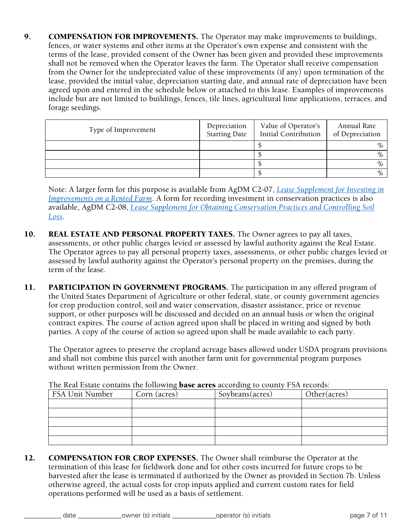9. COMPENSATION FOR IMPROVEMENTS. The Operator may make improvements to buildings, fences, or water systems and other items at the Operator's own expense and consistent with the terms of the lease, provided consent of the Owner has been given and provided these improvements shall not be removed when the Operator leaves the farm. The Operator shall receive compensation from the Owner for the undepreciated value of these improvements (if any) upon termination of the lease, provided the initial value, depreciation starting date, and annual rate of depreciation have been agreed upon and entered in the schedule below or attached to this lease. Examples of improvements include but are not limited to buildings, fences, tile lines, agricultural lime applications, terraces, and forage seedings.

| Type of Improvement | Depreciation<br><b>Starting Date</b> | Value of Operator's<br><b>Initial Contribution</b> | Annual Rate<br>of Depreciation |
|---------------------|--------------------------------------|----------------------------------------------------|--------------------------------|
|                     |                                      |                                                    | $\%$                           |
|                     |                                      |                                                    | $\%$                           |
|                     |                                      |                                                    | $\%$                           |
|                     |                                      |                                                    | $\%$                           |

Note: A larger form for this purpose is available from AgDM C2-07, *Lease Supplement for Investing in Improvements on a Rented Farm*. A form for recording investment in conservation practices is also available, AgDM C2-08, *Lease Supplement for Obtaining Conservation Practices and Controlling Soil Loss*.

- 10. **REAL ESTATE AND PERSONAL PROPERTY TAXES.** The Owner agrees to pay all taxes, assessments, or other public charges levied or assessed by lawful authority against the Real Estate. The Operator agrees to pay all personal property taxes, assessments, or other public charges levied or assessed by lawful authority against the Operator's personal property on the premises, during the term of the lease.
- 11. **PARTICIPATION IN GOVERNMENT PROGRAMS.** The participation in any offered program of the United States Department of Agriculture or other federal, state, or county government agencies for crop production control, soil and water conservation, disaster assistance, price or revenue support, or other purposes will be discussed and decided on an annual basis or when the original contract expires. The course of action agreed upon shall be placed in writing and signed by both parties. A copy of the course of action so agreed upon shall be made available to each party.

The Operator agrees to preserve the cropland acreage bases allowed under USDA program provisions and shall not combine this parcel with another farm unit for governmental program purposes without written permission from the Owner.

| <b>FSA Unit Number</b> | Corn (acres) | Soybeans(acres) | Other(acres) |
|------------------------|--------------|-----------------|--------------|
|                        |              |                 |              |
|                        |              |                 |              |
|                        |              |                 |              |
|                        |              |                 |              |
|                        |              |                 |              |

The Real Estate contains the following **base acres** according to county FSA records:

12. COMPENSATION FOR CROP EXPENSES. The Owner shall reimburse the Operator at the termination of this lease for fieldwork done and for other costs incurred for future crops to be harvested after the lease is terminated if authorized by the Owner as provided in Section 7b. Unless otherwise agreed, the actual costs for crop inputs applied and current custom rates for field operations performed will be used as a basis of settlement.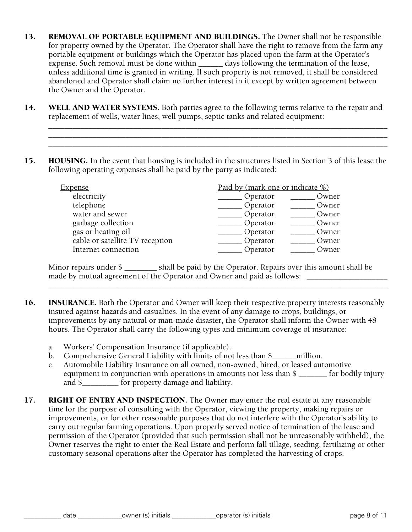- 13. REMOVAL OF PORTABLE EQUIPMENT AND BUILDINGS. The Owner shall not be responsible for property owned by the Operator. The Operator shall have the right to remove from the farm any portable equipment or buildings which the Operator has placed upon the farm at the Operator's expense. Such removal must be done within \_\_\_\_\_\_\_ days following the termination of the lease, unless additional time is granted in writing. If such property is not removed, it shall be considered abandoned and Operator shall claim no further interest in it except by written agreement between the Owner and the Operator.
- 14. WELL AND WATER SYSTEMS. Both parties agree to the following terms relative to the repair and replacement of wells, water lines, well pumps, septic tanks and related equipment:

\_\_\_\_\_\_\_\_\_\_\_\_\_\_\_\_\_\_\_\_\_\_\_\_\_\_\_\_\_\_\_\_\_\_\_\_\_\_\_\_\_\_\_\_\_\_\_\_\_\_\_\_\_\_\_\_\_\_\_\_\_\_\_\_\_\_\_\_\_\_\_\_\_\_\_\_\_\_\_\_\_\_\_\_ \_\_\_\_\_\_\_\_\_\_\_\_\_\_\_\_\_\_\_\_\_\_\_\_\_\_\_\_\_\_\_\_\_\_\_\_\_\_\_\_\_\_\_\_\_\_\_\_\_\_\_\_\_\_\_\_\_\_\_\_\_\_\_\_\_\_\_\_\_\_\_\_\_\_\_\_\_\_\_\_\_\_\_\_ \_\_\_\_\_\_\_\_\_\_\_\_\_\_\_\_\_\_\_\_\_\_\_\_\_\_\_\_\_\_\_\_\_\_\_\_\_\_\_\_\_\_\_\_\_\_\_\_\_\_\_\_\_\_\_\_\_\_\_\_\_\_\_\_\_\_\_\_\_\_\_\_\_\_\_\_\_\_\_\_\_\_\_\_

15. HOUSING. In the event that housing is included in the structures listed in Section 3 of this lease the following operating expenses shall be paid by the party as indicated:

| <u>Expense</u>                  | Paid by (mark one or indicate %) |
|---------------------------------|----------------------------------|
| electricity                     | Operator<br>Owner                |
| telephone                       | Operator<br>Owner                |
| water and sewer                 | Operator<br>Owner                |
| garbage collection              | Operator<br>Owner                |
| gas or heating oil              | Operator<br>Owner                |
| cable or satellite TV reception | Operator<br>Owner                |
| Internet connection             | Operator<br>Owner                |

Minor repairs under \$ \_\_\_\_\_\_\_\_ shall be paid by the Operator. Repairs over this amount shall be made by mutual agreement of the Operator and Owner and paid as follows: \_\_\_\_\_\_\_\_\_\_\_\_\_\_\_\_\_\_\_\_

\_\_\_\_\_\_\_\_\_\_\_\_\_\_\_\_\_\_\_\_\_\_\_\_\_\_\_\_\_\_\_\_\_\_\_\_\_\_\_\_\_\_\_\_\_\_\_\_\_\_\_\_\_\_\_\_\_\_\_\_\_\_\_\_\_\_\_\_\_\_\_\_\_\_\_\_\_\_\_\_\_\_\_\_

- 16. INSURANCE. Both the Operator and Owner will keep their respective property interests reasonably insured against hazards and casualties. In the event of any damage to crops, buildings, or improvements by any natural or man-made disaster, the Operator shall inform the Owner with 48 hours. The Operator shall carry the following types and minimum coverage of insurance:
	- a. Workers' Compensation Insurance (if applicable).
	- b. Comprehensive General Liability with limits of not less than \$ \_\_\_\_\_\_million.
	- c. Automobile Liability Insurance on all owned, non-owned, hired, or leased automotive equipment in conjunction with operations in amounts not less than \$ \_\_\_\_\_\_\_ for bodily injury and \$ for property damage and liability.
- 17. RIGHT OF ENTRY AND INSPECTION. The Owner may enter the real estate at any reasonable time for the purpose of consulting with the Operator, viewing the property, making repairs or improvements, or for other reasonable purposes that do not interfere with the Operator's ability to carry out regular farming operations. Upon properly served notice of termination of the lease and permission of the Operator (provided that such permission shall not be unreasonably withheld), the Owner reserves the right to enter the Real Estate and perform fall tillage, seeding, fertilizing or other customary seasonal operations after the Operator has completed the harvesting of crops.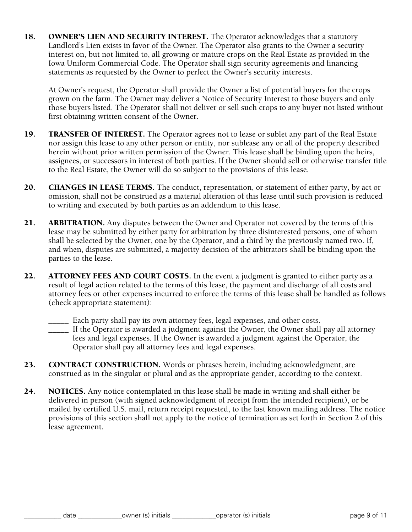18. OWNER'S LIEN AND SECURITY INTEREST. The Operator acknowledges that a statutory Landlord's Lien exists in favor of the Owner. The Operator also grants to the Owner a security interest on, but not limited to, all growing or mature crops on the Real Estate as provided in the Iowa Uniform Commercial Code. The Operator shall sign security agreements and financing statements as requested by the Owner to perfect the Owner's security interests.

At Owner's request, the Operator shall provide the Owner a list of potential buyers for the crops grown on the farm. The Owner may deliver a Notice of Security Interest to those buyers and only those buyers listed. The Operator shall not deliver or sell such crops to any buyer not listed without first obtaining written consent of the Owner.

- 19. TRANSFER OF INTEREST. The Operator agrees not to lease or sublet any part of the Real Estate nor assign this lease to any other person or entity, nor sublease any or all of the property described herein without prior written permission of the Owner. This lease shall be binding upon the heirs, assignees, or successors in interest of both parties. If the Owner should sell or otherwise transfer title to the Real Estate, the Owner will do so subject to the provisions of this lease.
- 20. CHANGES IN LEASE TERMS. The conduct, representation, or statement of either party, by act or omission, shall not be construed as a material alteration of this lease until such provision is reduced to writing and executed by both parties as an addendum to this lease.
- 21. **ARBITRATION.** Any disputes between the Owner and Operator not covered by the terms of this lease may be submitted by either party for arbitration by three disinterested persons, one of whom shall be selected by the Owner, one by the Operator, and a third by the previously named two. If, and when, disputes are submitted, a majority decision of the arbitrators shall be binding upon the parties to the lease.
- 22. ATTORNEY FEES AND COURT COSTS. In the event a judgment is granted to either party as a result of legal action related to the terms of this lease, the payment and discharge of all costs and attorney fees or other expenses incurred to enforce the terms of this lease shall be handled as follows (check appropriate statement):
	- \_\_\_\_\_ Each party shall pay its own attorney fees, legal expenses, and other costs.
	- \_\_\_\_\_ If the Operator is awarded a judgment against the Owner, the Owner shall pay all attorney fees and legal expenses. If the Owner is awarded a judgment against the Operator, the Operator shall pay all attorney fees and legal expenses.
- 23. CONTRACT CONSTRUCTION. Words or phrases herein, including acknowledgment, are construed as in the singular or plural and as the appropriate gender, according to the context.
- 24. NOTICES. Any notice contemplated in this lease shall be made in writing and shall either be delivered in person (with signed acknowledgment of receipt from the intended recipient), or be mailed by certified U.S. mail, return receipt requested, to the last known mailing address. The notice provisions of this section shall not apply to the notice of termination as set forth in Section 2 of this lease agreement.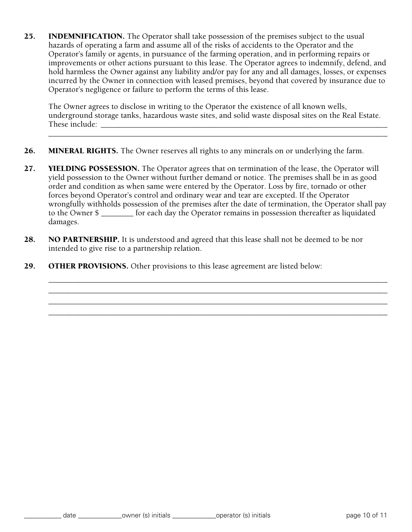25. **INDEMNIFICATION.** The Operator shall take possession of the premises subject to the usual hazards of operating a farm and assume all of the risks of accidents to the Operator and the Operator's family or agents, in pursuance of the farming operation, and in performing repairs or improvements or other actions pursuant to this lease. The Operator agrees to indemnify, defend, and hold harmless the Owner against any liability and/or pay for any and all damages, losses, or expenses incurred by the Owner in connection with leased premises, beyond that covered by insurance due to Operator's negligence or failure to perform the terms of this lease.

The Owner agrees to disclose in writing to the Operator the existence of all known wells, underground storage tanks, hazardous waste sites, and solid waste disposal sites on the Real Estate. These include: \_\_\_\_\_\_\_\_\_\_\_\_\_\_\_\_\_\_\_\_\_\_\_\_\_\_\_\_\_\_\_\_\_\_\_\_\_\_\_\_\_\_\_\_\_\_\_\_\_\_\_\_\_\_\_\_\_\_\_\_\_\_\_\_\_\_\_\_\_\_\_

\_\_\_\_\_\_\_\_\_\_\_\_\_\_\_\_\_\_\_\_\_\_\_\_\_\_\_\_\_\_\_\_\_\_\_\_\_\_\_\_\_\_\_\_\_\_\_\_\_\_\_\_\_\_\_\_\_\_\_\_\_\_\_\_\_\_\_\_\_\_\_\_\_\_\_\_\_\_\_\_\_\_\_\_

\_\_\_\_\_\_\_\_\_\_\_\_\_\_\_\_\_\_\_\_\_\_\_\_\_\_\_\_\_\_\_\_\_\_\_\_\_\_\_\_\_\_\_\_\_\_\_\_\_\_\_\_\_\_\_\_\_\_\_\_\_\_\_\_\_\_\_\_\_\_\_\_\_\_\_\_\_\_\_\_\_\_\_\_ \_\_\_\_\_\_\_\_\_\_\_\_\_\_\_\_\_\_\_\_\_\_\_\_\_\_\_\_\_\_\_\_\_\_\_\_\_\_\_\_\_\_\_\_\_\_\_\_\_\_\_\_\_\_\_\_\_\_\_\_\_\_\_\_\_\_\_\_\_\_\_\_\_\_\_\_\_\_\_\_\_\_\_\_ \_\_\_\_\_\_\_\_\_\_\_\_\_\_\_\_\_\_\_\_\_\_\_\_\_\_\_\_\_\_\_\_\_\_\_\_\_\_\_\_\_\_\_\_\_\_\_\_\_\_\_\_\_\_\_\_\_\_\_\_\_\_\_\_\_\_\_\_\_\_\_\_\_\_\_\_\_\_\_\_\_\_\_\_ \_\_\_\_\_\_\_\_\_\_\_\_\_\_\_\_\_\_\_\_\_\_\_\_\_\_\_\_\_\_\_\_\_\_\_\_\_\_\_\_\_\_\_\_\_\_\_\_\_\_\_\_\_\_\_\_\_\_\_\_\_\_\_\_\_\_\_\_\_\_\_\_\_\_\_\_\_\_\_\_\_\_\_\_

- 26. MINERAL RIGHTS. The Owner reserves all rights to any minerals on or underlying the farm.
- 27. YIELDING POSSESSION. The Operator agrees that on termination of the lease, the Operator will yield possession to the Owner without further demand or notice. The premises shall be in as good order and condition as when same were entered by the Operator. Loss by fire, tornado or other forces beyond Operator's control and ordinary wear and tear are excepted. If the Operator wrongfully withholds possession of the premises after the date of termination, the Operator shall pay to the Owner \$ \_\_\_\_\_\_\_\_ for each day the Operator remains in possession thereafter as liquidated damages.
- 28. NO PARTNERSHIP. It is understood and agreed that this lease shall not be deemed to be nor intended to give rise to a partnership relation.
- 29. **OTHER PROVISIONS.** Other provisions to this lease agreement are listed below: